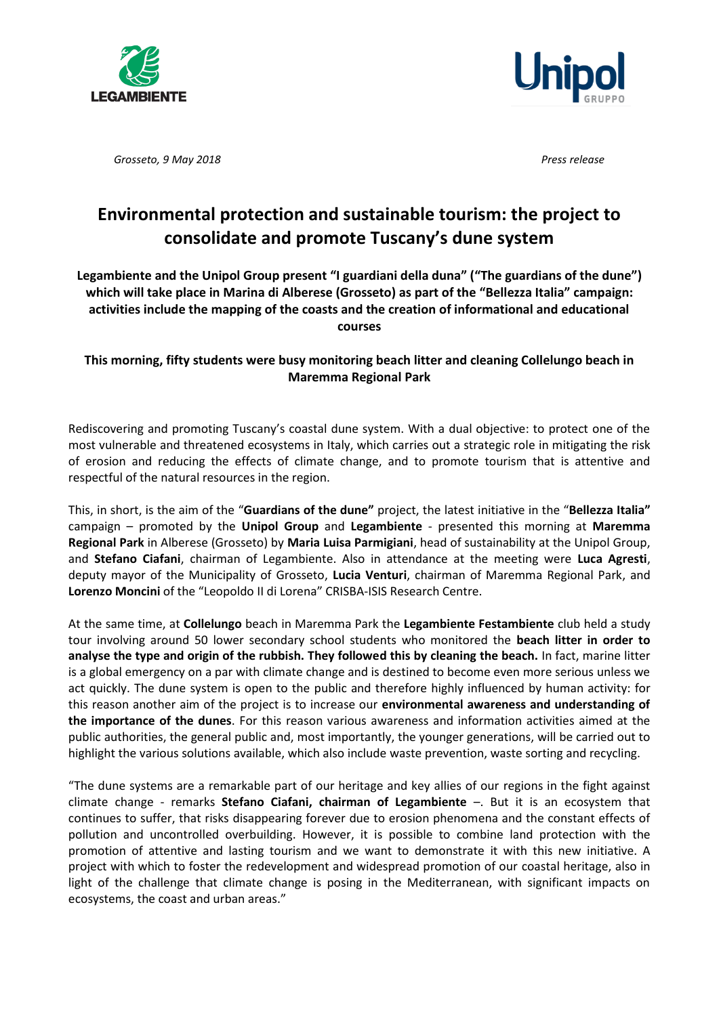



*Grosseto, 9 May 2018 Press release*

## **Environmental protection and sustainable tourism: the project to consolidate and promote Tuscany's dune system**

**Legambiente and the Unipol Group present "I guardiani della duna" ("The guardians of the dune") which will take place in Marina di Alberese (Grosseto) as part of the "Bellezza Italia" campaign: activities include the mapping of the coasts and the creation of informational and educational courses**

## **This morning, fifty students were busy monitoring beach litter and cleaning Collelungo beach in Maremma Regional Park**

Rediscovering and promoting Tuscany's coastal dune system. With a dual objective: to protect one of the most vulnerable and threatened ecosystems in Italy, which carries out a strategic role in mitigating the risk of erosion and reducing the effects of climate change, and to promote tourism that is attentive and respectful of the natural resources in the region.

This, in short, is the aim of the "**Guardians of the dune"** project, the latest initiative in the "**Bellezza Italia"** campaign – promoted by the **Unipol Group** and **Legambiente** - presented this morning at **Maremma Regional Park** in Alberese (Grosseto) by **Maria Luisa Parmigiani**, head of sustainability at the Unipol Group, and **Stefano Ciafani**, chairman of Legambiente. Also in attendance at the meeting were **Luca Agresti**, deputy mayor of the Municipality of Grosseto, **Lucia Venturi**, chairman of Maremma Regional Park, and **Lorenzo Moncini** of the "Leopoldo II di Lorena" CRISBA-ISIS Research Centre.

At the same time, at **Collelungo** beach in Maremma Park the **Legambiente Festambiente** club held a study tour involving around 50 lower secondary school students who monitored the **beach litter in order to analyse the type and origin of the rubbish. They followed this by cleaning the beach.** In fact, marine litter is a global emergency on a par with climate change and is destined to become even more serious unless we act quickly. The dune system is open to the public and therefore highly influenced by human activity: for this reason another aim of the project is to increase our **environmental awareness and understanding of the importance of the dunes**. For this reason various awareness and information activities aimed at the public authorities, the general public and, most importantly, the younger generations, will be carried out to highlight the various solutions available, which also include waste prevention, waste sorting and recycling.

"The dune systems are a remarkable part of our heritage and key allies of our regions in the fight against climate change - remarks **Stefano Ciafani, chairman of Legambiente** –. But it is an ecosystem that continues to suffer, that risks disappearing forever due to erosion phenomena and the constant effects of pollution and uncontrolled overbuilding. However, it is possible to combine land protection with the promotion of attentive and lasting tourism and we want to demonstrate it with this new initiative. A project with which to foster the redevelopment and widespread promotion of our coastal heritage, also in light of the challenge that climate change is posing in the Mediterranean, with significant impacts on ecosystems, the coast and urban areas."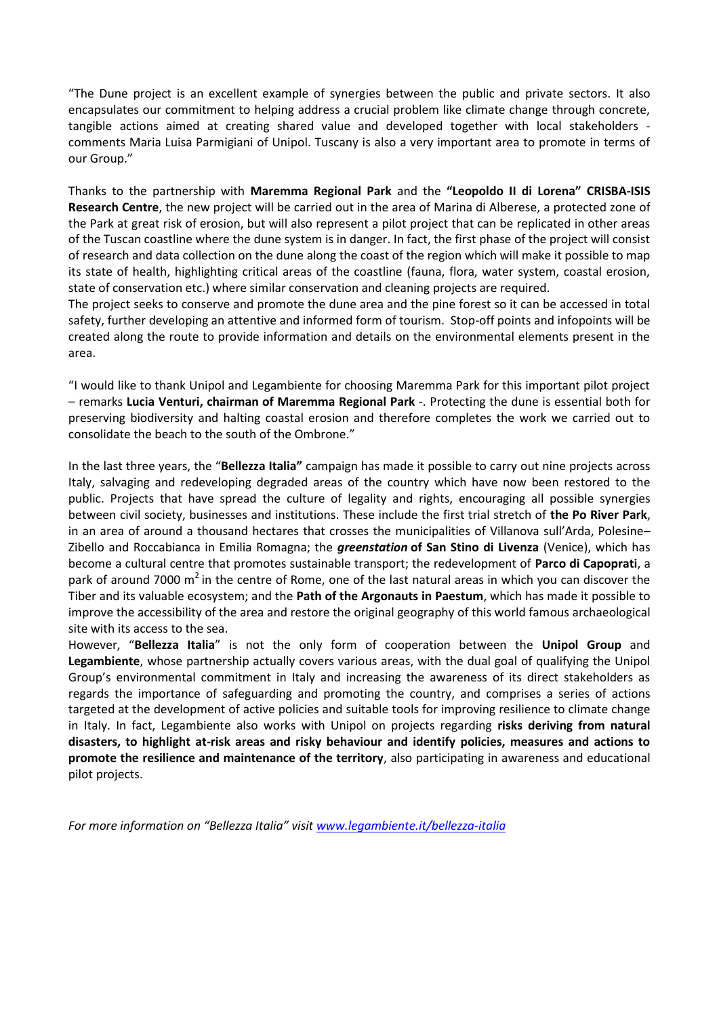"The Dune project is an excellent example of synergies between the public and private sectors. It also encapsulates our commitment to helping address a crucial problem like climate change through concrete, tangible actions aimed at creating shared value and developed together with local stakeholders comments Maria Luisa Parmigiani of Unipol. Tuscany is also a very important area to promote in terms of our Group."

Thanks to the partnership with **Maremma Regional Park** and the **"Leopoldo II di Lorena" CRISBA-ISIS Research Centre**, the new project will be carried out in the area of Marina di Alberese, a protected zone of the Park at great risk of erosion, but will also represent a pilot project that can be replicated in other areas of the Tuscan coastline where the dune system is in danger. In fact, the first phase of the project will consist of research and data collection on the dune along the coast of the region which will make it possible to map its state of health, highlighting critical areas of the coastline (fauna, flora, water system, coastal erosion, state of conservation etc.) where similar conservation and cleaning projects are required.

The project seeks to conserve and promote the dune area and the pine forest so it can be accessed in total safety, further developing an attentive and informed form of tourism. Stop-off points and infopoints will be created along the route to provide information and details on the environmental elements present in the area.

"I would like to thank Unipol and Legambiente for choosing Maremma Park for this important pilot project – remarks **Lucia Venturi, chairman of Maremma Regional Park** -. Protecting the dune is essential both for preserving biodiversity and halting coastal erosion and therefore completes the work we carried out to consolidate the beach to the south of the Ombrone."

In the last three years, the "**Bellezza Italia"** campaign has made it possible to carry out nine projects across Italy, salvaging and redeveloping degraded areas of the country which have now been restored to the public. Projects that have spread the culture of legality and rights, encouraging all possible synergies between civil society, businesses and institutions. These include the first trial stretch of **the Po River Park**, in an area of around a thousand hectares that crosses the municipalities of Villanova sull'Arda, Polesine– Zibello and Roccabianca in Emilia Romagna; the *greenstation* **of San Stino di Livenza** (Venice), which has become a cultural centre that promotes sustainable transport; the redevelopment of **Parco di Capoprati**, a park of around 7000  $m<sup>2</sup>$  in the centre of Rome, one of the last natural areas in which you can discover the Tiber and its valuable ecosystem; and the **Path of the Argonauts in Paestum**, which has made it possible to improve the accessibility of the area and restore the original geography of this world famous archaeological site with its access to the sea.

However, "**Bellezza Italia**" is not the only form of cooperation between the **Unipol Group** and **Legambiente**, whose partnership actually covers various areas, with the dual goal of qualifying the Unipol Group's environmental commitment in Italy and increasing the awareness of its direct stakeholders as regards the importance of safeguarding and promoting the country, and comprises a series of actions targeted at the development of active policies and suitable tools for improving resilience to climate change in Italy. In fact, Legambiente also works with Unipol on projects regarding **risks deriving from natural disasters, to highlight at-risk areas and risky behaviour and identify policies, measures and actions to promote the resilience and maintenance of the territory**, also participating in awareness and educational pilot projects.

*For more information on "Bellezza Italia" visit [www.legambiente.it/bellezza-italia](http://www.legambiente.it/bellezza-italia)*